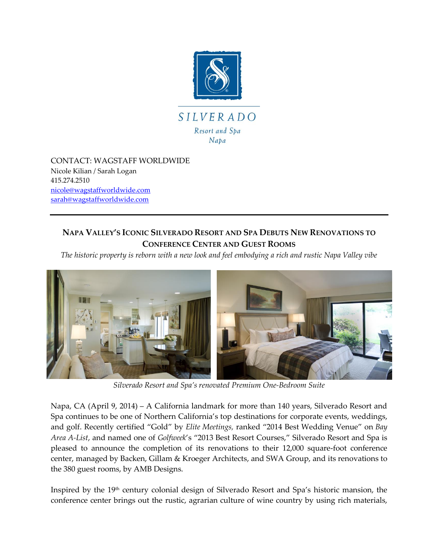

CONTACT: WAGSTAFF WORLDWIDE Nicole Kilian / Sarah Logan 415.274.2510 [nicole@wagstaffworldwide.com](mailto:nicole@wagstaffworldwide.com) [sarah@wagstaffworldwide.com](mailto:sarah@wagstaffworldwide.com)

## **NAPA VALLEY'S ICONIC SILVERADO RESORT AND SPA DEBUTS NEW RENOVATIONS TO CONFERENCE CENTER AND GUEST ROOMS**

*The historic property is reborn with a new look and feel embodying a rich and rustic Napa Valley vibe* 



*Silverado Resort and Spa's renovated Premium One-Bedroom Suite* 

Napa, CA (April 9, 2014) – A California landmark for more than 140 years, Silverado Resort and Spa continues to be one of Northern California's top destinations for corporate events, weddings, and golf. Recently certified "Gold" by *Elite Meetings,* ranked "2014 Best Wedding Venue" on *Bay Area A-List*, and named one of *Golfweek*'s "2013 Best Resort Courses," Silverado Resort and Spa is pleased to announce the completion of its renovations to their 12,000 square-foot conference center, managed by Backen, Gillam & Kroeger Architects, and SWA Group, and its renovations to the 380 guest rooms, by AMB Designs.

Inspired by the 19th century colonial design of Silverado Resort and Spa's historic mansion, the conference center brings out the rustic, agrarian culture of wine country by using rich materials,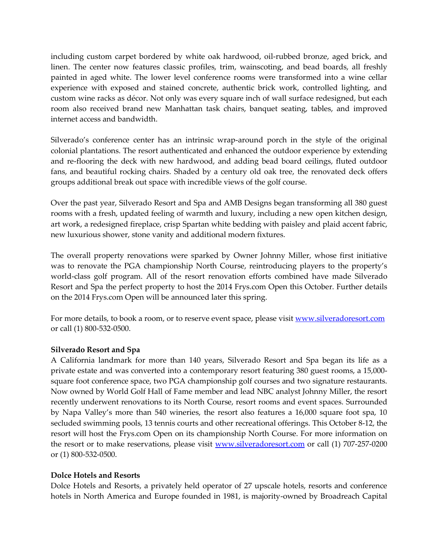including custom carpet bordered by white oak hardwood, oil-rubbed bronze, aged brick, and linen. The center now features classic profiles, trim, wainscoting, and bead boards, all freshly painted in aged white. The lower level conference rooms were transformed into a wine cellar experience with exposed and stained concrete, authentic brick work, controlled lighting, and custom wine racks as décor. Not only was every square inch of wall surface redesigned, but each room also received brand new Manhattan task chairs, banquet seating, tables, and improved internet access and bandwidth.

Silverado's conference center has an intrinsic wrap-around porch in the style of the original colonial plantations. The resort authenticated and enhanced the outdoor experience by extending and re-flooring the deck with new hardwood, and adding bead board ceilings, fluted outdoor fans, and beautiful rocking chairs. Shaded by a century old oak tree, the renovated deck offers groups additional break out space with incredible views of the golf course.

Over the past year, Silverado Resort and Spa and AMB Designs began transforming all 380 guest rooms with a fresh, updated feeling of warmth and luxury, including a new open kitchen design, art work, a redesigned fireplace, crisp Spartan white bedding with paisley and plaid accent fabric, new luxurious shower, stone vanity and additional modern fixtures.

The overall property renovations were sparked by Owner Johnny Miller, whose first initiative was to renovate the PGA championship North Course, reintroducing players to the property's world-class golf program. All of the resort renovation efforts combined have made Silverado Resort and Spa the perfect property to host the 2014 Frys.com Open this October. Further details on the 2014 Frys.com Open will be announced later this spring.

For more details, to book a room, or to reserve event space, please visit [www.silveradoresort.com](http://www.silveradoresort.com/) or call (1) 800-532-0500.

## **Silverado Resort and Spa**

A California landmark for more than 140 years, Silverado Resort and Spa began its life as a private estate and was converted into a contemporary resort featuring 380 guest rooms, a 15,000 square foot conference space, two PGA championship golf courses and two signature restaurants. Now owned by World Golf Hall of Fame member and lead NBC analyst Johnny Miller, the resort recently underwent renovations to its North Course, resort rooms and event spaces. Surrounded by Napa Valley's more than 540 wineries, the resort also features a 16,000 square foot spa, 10 secluded swimming pools, 13 tennis courts and other recreational offerings. This October 8-12, the resort will host the Frys.com Open on its championship North Course. For more information on the resort or to make reservations, please visit [www.silveradoresort.com](http://www.silveradoresort.com/) or call (1) 707-257-0200 or (1) 800-532-0500.

## **Dolce Hotels and Resorts**

Dolce Hotels and Resorts, a privately held operator of 27 upscale hotels, resorts and conference hotels in North America and Europe founded in 1981, is majority-owned by Broadreach Capital